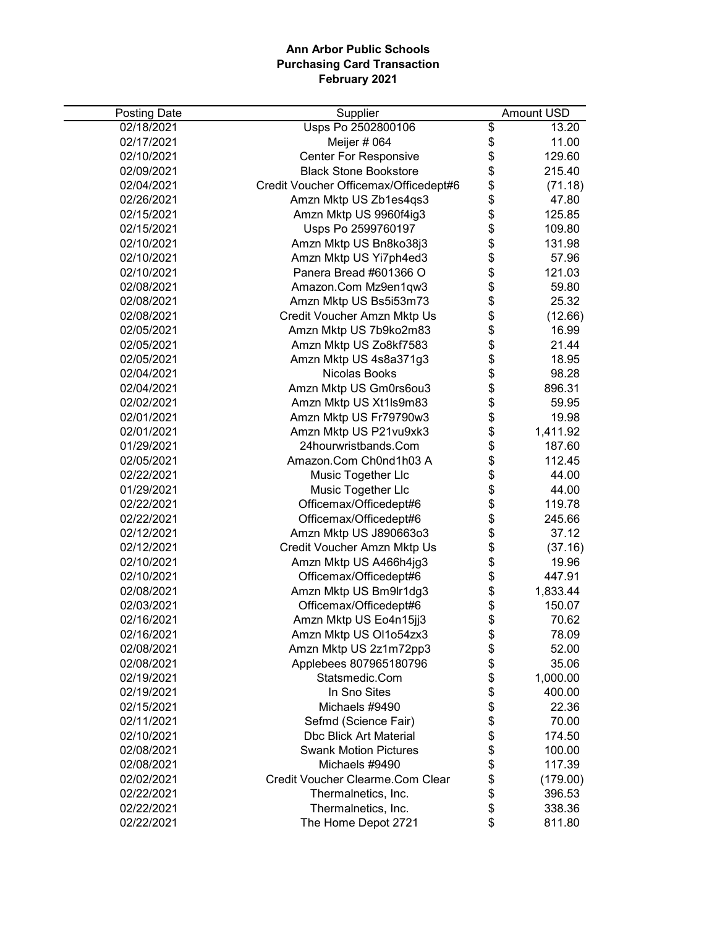| <b>Posting Date</b> | Supplier                              |          | <b>Amount USD</b> |
|---------------------|---------------------------------------|----------|-------------------|
| 02/18/2021          | Usps Po 2502800106                    | \$       | 13.20             |
| 02/17/2021          | Meijer # 064                          |          | 11.00             |
| 02/10/2021          | <b>Center For Responsive</b>          | \$\$     | 129.60            |
| 02/09/2021          | <b>Black Stone Bookstore</b>          |          | 215.40            |
| 02/04/2021          | Credit Voucher Officemax/Officedept#6 | \$       | (71.18)           |
| 02/26/2021          | Amzn Mktp US Zb1es4qs3                |          | 47.80             |
| 02/15/2021          | Amzn Mktp US 9960f4ig3                | \$<br>\$ | 125.85            |
| 02/15/2021          | Usps Po 2599760197                    | \$       | 109.80            |
| 02/10/2021          | Amzn Mktp US Bn8ko38j3                | \$       | 131.98            |
| 02/10/2021          | Amzn Mktp US Yi7ph4ed3                | \$       | 57.96             |
| 02/10/2021          | Panera Bread #601366 O                | \$       | 121.03            |
| 02/08/2021          | Amazon.Com Mz9en1qw3                  | \$       | 59.80             |
| 02/08/2021          | Amzn Mktp US Bs5i53m73                | \$       | 25.32             |
| 02/08/2021          | Credit Voucher Amzn Mktp Us           | \$       | (12.66)           |
| 02/05/2021          | Amzn Mktp US 7b9ko2m83                | \$       | 16.99             |
| 02/05/2021          | Amzn Mktp US Zo8kf7583                | \$       | 21.44             |
| 02/05/2021          | Amzn Mktp US 4s8a371g3                | \$       | 18.95             |
| 02/04/2021          | Nicolas Books                         | \$       | 98.28             |
| 02/04/2021          | Amzn Mktp US Gm0rs6ou3                |          | 896.31            |
| 02/02/2021          | Amzn Mktp US Xt1ls9m83                | \$<br>\$ | 59.95             |
| 02/01/2021          | Amzn Mktp US Fr79790w3                | \$       | 19.98             |
| 02/01/2021          | Amzn Mktp US P21vu9xk3                | \$       | 1,411.92          |
| 01/29/2021          | 24hourwristbands.Com                  | \$       | 187.60            |
| 02/05/2021          | Amazon.Com Ch0nd1h03 A                | \$       | 112.45            |
| 02/22/2021          | Music Together Llc                    | \$       | 44.00             |
| 01/29/2021          | Music Together Llc                    | \$       | 44.00             |
| 02/22/2021          | Officemax/Officedept#6                | \$       | 119.78            |
| 02/22/2021          | Officemax/Officedept#6                | \$       | 245.66            |
| 02/12/2021          | Amzn Mktp US J890663o3                | \$       | 37.12             |
| 02/12/2021          | Credit Voucher Amzn Mktp Us           | \$       | (37.16)           |
| 02/10/2021          | Amzn Mktp US A466h4jg3                | \$       | 19.96             |
| 02/10/2021          | Officemax/Officedept#6                | \$       | 447.91            |
| 02/08/2021          | Amzn Mktp US Bm9lr1dg3                | \$       | 1,833.44          |
| 02/03/2021          | Officemax/Officedept#6                | \$       | 150.07            |
| 02/16/2021          | Amzn Mktp US Eo4n15jj3                | \$       | 70.62             |
| 02/16/2021          | Amzn Mktp US Ol1o54zx3                | \$       | 78.09             |
| 02/08/2021          | Amzn Mktp US 2z1m72pp3                | \$       | 52.00             |
| 02/08/2021          | Applebees 807965180796                | \$       | 35.06             |
| 02/19/2021          | Statsmedic.Com                        | \$       | 1,000.00          |
| 02/19/2021          | In Sno Sites                          | \$       | 400.00            |
| 02/15/2021          | Michaels #9490                        | \$       | 22.36             |
| 02/11/2021          | Sefmd (Science Fair)                  | \$       | 70.00             |
| 02/10/2021          | <b>Dbc Blick Art Material</b>         | \$       | 174.50            |
| 02/08/2021          | <b>Swank Motion Pictures</b>          | \$       | 100.00            |
| 02/08/2021          | Michaels #9490                        | \$       | 117.39            |
| 02/02/2021          | Credit Voucher Clearme.Com Clear      | \$       | (179.00)          |
| 02/22/2021          | Thermalnetics, Inc.                   | \$       | 396.53            |
| 02/22/2021          | Thermalnetics, Inc.                   | \$       | 338.36            |
| 02/22/2021          | The Home Depot 2721                   | \$       | 811.80            |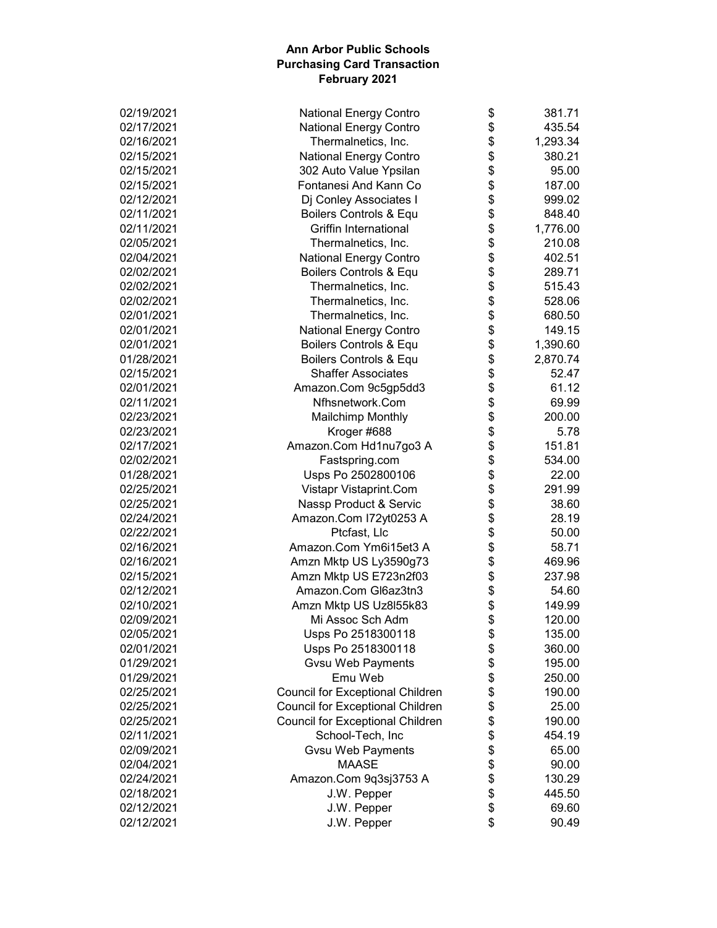| 02/19/2021 | National Energy Contro                  | \$           | 381.71   |
|------------|-----------------------------------------|--------------|----------|
| 02/17/2021 | <b>National Energy Contro</b>           | \$           | 435.54   |
| 02/16/2021 | Thermalnetics, Inc.                     | \$           | 1,293.34 |
| 02/15/2021 | <b>National Energy Contro</b>           | \$           | 380.21   |
| 02/15/2021 | 302 Auto Value Ypsilan                  | \$           | 95.00    |
| 02/15/2021 | Fontanesi And Kann Co                   | \$           | 187.00   |
| 02/12/2021 | Dj Conley Associates I                  | \$           | 999.02   |
| 02/11/2021 | Boilers Controls & Equ                  | \$           | 848.40   |
| 02/11/2021 | Griffin International                   |              | 1,776.00 |
| 02/05/2021 | Thermalnetics, Inc.                     | \$\$         | 210.08   |
| 02/04/2021 | <b>National Energy Contro</b>           |              | 402.51   |
| 02/02/2021 | Boilers Controls & Equ                  | \$           | 289.71   |
| 02/02/2021 | Thermalnetics, Inc.                     | \$           | 515.43   |
| 02/02/2021 | Thermalnetics, Inc.                     | \$           | 528.06   |
| 02/01/2021 | Thermalnetics, Inc.                     | \$           | 680.50   |
| 02/01/2021 | National Energy Contro                  | \$           | 149.15   |
| 02/01/2021 | Boilers Controls & Equ                  | \$           | 1,390.60 |
| 01/28/2021 | Boilers Controls & Equ                  | \$           | 2,870.74 |
| 02/15/2021 | <b>Shaffer Associates</b>               |              | 52.47    |
| 02/01/2021 | Amazon.Com 9c5gp5dd3                    |              | 61.12    |
| 02/11/2021 | Nfhsnetwork.Com                         |              | 69.99    |
| 02/23/2021 | <b>Mailchimp Monthly</b>                | \$\$\$       | 200.00   |
| 02/23/2021 | Kroger #688                             | \$           | 5.78     |
| 02/17/2021 | Amazon.Com Hd1nu7go3 A                  | \$           | 151.81   |
| 02/02/2021 |                                         | \$           | 534.00   |
|            | Fastspring.com                          |              |          |
| 01/28/2021 | Usps Po 2502800106                      | \$           | 22.00    |
| 02/25/2021 | Vistapr Vistaprint.Com                  | \$           | 291.99   |
| 02/25/2021 | Nassp Product & Servic                  | \$           | 38.60    |
| 02/24/2021 | Amazon.Com I72yt0253 A                  | \$           | 28.19    |
| 02/22/2021 | Ptcfast, Llc                            | \$           | 50.00    |
| 02/16/2021 | Amazon.Com Ym6i15et3 A                  | \$           | 58.71    |
| 02/16/2021 | Amzn Mktp US Ly3590g73                  | \$           | 469.96   |
| 02/15/2021 | Amzn Mktp US E723n2f03                  | \$           | 237.98   |
| 02/12/2021 | Amazon.Com Gl6az3tn3                    | \$           | 54.60    |
| 02/10/2021 | Amzn Mktp US Uz8l55k83                  | \$           | 149.99   |
| 02/09/2021 | Mi Assoc Sch Adm                        | \$           | 120.00   |
| 02/05/2021 | Usps Po 2518300118                      | \$           | 135.00   |
| 02/01/2021 | Usps Po 2518300118                      | \$           | 360.00   |
| 01/29/2021 | <b>Gvsu Web Payments</b>                | \$           | 195.00   |
| 01/29/2021 | Emu Web                                 | \$<br>\$     | 250.00   |
| 02/25/2021 | <b>Council for Exceptional Children</b> |              | 190.00   |
| 02/25/2021 | <b>Council for Exceptional Children</b> | \$\$\$\$\$\$ | 25.00    |
| 02/25/2021 | <b>Council for Exceptional Children</b> |              | 190.00   |
| 02/11/2021 | School-Tech, Inc                        |              | 454.19   |
| 02/09/2021 | <b>Gvsu Web Payments</b>                |              | 65.00    |
| 02/04/2021 | <b>MAASE</b>                            |              | 90.00    |
| 02/24/2021 | Amazon.Com 9q3sj3753 A                  |              | 130.29   |
| 02/18/2021 | J.W. Pepper                             | \$           | 445.50   |
| 02/12/2021 | J.W. Pepper                             | \$           | 69.60    |
| 02/12/2021 | J.W. Pepper                             | \$           | 90.49    |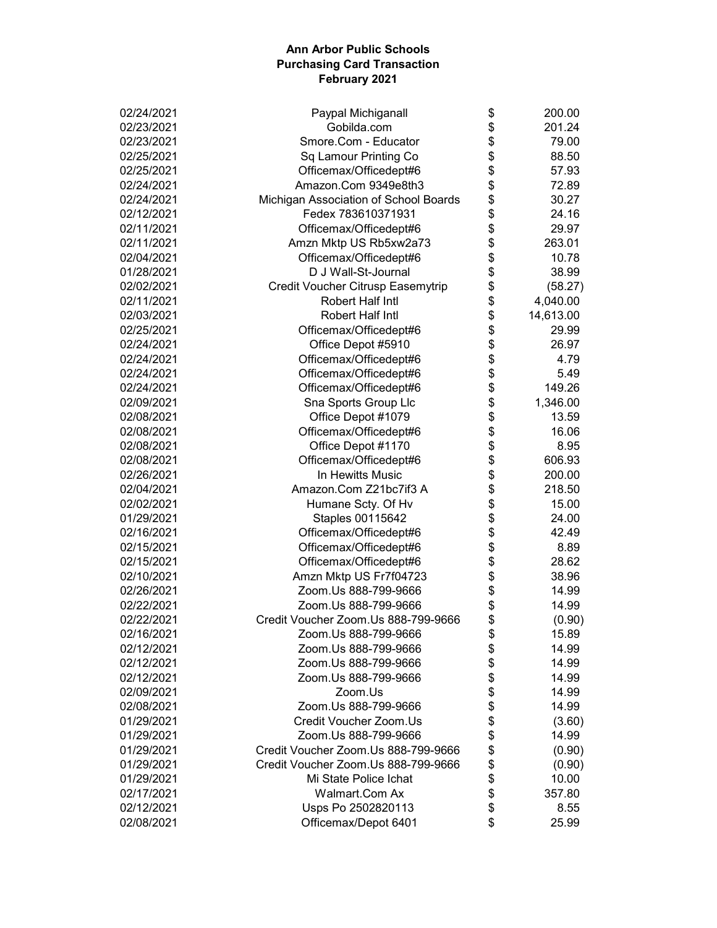| 02/24/2021 | Paypal Michiganall                    | \$   | 200.00    |
|------------|---------------------------------------|------|-----------|
| 02/23/2021 | Gobilda.com                           | \$   | 201.24    |
| 02/23/2021 | Smore.Com - Educator                  | \$   | 79.00     |
| 02/25/2021 | Sq Lamour Printing Co                 | \$   | 88.50     |
| 02/25/2021 | Officemax/Officedept#6                | \$   | 57.93     |
| 02/24/2021 | Amazon.Com 9349e8th3                  | \$   | 72.89     |
| 02/24/2021 | Michigan Association of School Boards |      | 30.27     |
| 02/12/2021 | Fedex 783610371931                    | \$   | 24.16     |
| 02/11/2021 | Officemax/Officedept#6                | \$   | 29.97     |
| 02/11/2021 | Amzn Mktp US Rb5xw2a73                | \$   | 263.01    |
| 02/04/2021 | Officemax/Officedept#6                | \$   | 10.78     |
| 01/28/2021 | D J Wall-St-Journal                   | \$   | 38.99     |
| 02/02/2021 | Credit Voucher Citrusp Easemytrip     | \$   | (58.27)   |
| 02/11/2021 | Robert Half Intl                      | \$   | 4,040.00  |
| 02/03/2021 | Robert Half Intl                      | \$   | 14,613.00 |
| 02/25/2021 | Officemax/Officedept#6                | \$   | 29.99     |
| 02/24/2021 | Office Depot #5910                    |      | 26.97     |
| 02/24/2021 | Officemax/Officedept#6                | \$   | 4.79      |
| 02/24/2021 | Officemax/Officedept#6                |      | 5.49      |
| 02/24/2021 | Officemax/Officedept#6                | \$   | 149.26    |
| 02/09/2021 | Sna Sports Group Llc                  | \$   | 1,346.00  |
| 02/08/2021 | Office Depot #1079                    | \$   | 13.59     |
| 02/08/2021 | Officemax/Officedept#6                | \$   | 16.06     |
| 02/08/2021 | Office Depot #1170                    |      | 8.95      |
| 02/08/2021 | Officemax/Officedept#6                | \$   | 606.93    |
|            | In Hewitts Music                      | \$   | 200.00    |
| 02/26/2021 |                                       | \$   |           |
| 02/04/2021 | Amazon.Com Z21bc7if3 A                | \$   | 218.50    |
| 02/02/2021 | Humane Scty. Of Hv                    | \$   | 15.00     |
| 01/29/2021 | Staples 00115642                      | \$   | 24.00     |
| 02/16/2021 | Officemax/Officedept#6                | \$   | 42.49     |
| 02/15/2021 | Officemax/Officedept#6                | \$   | 8.89      |
| 02/15/2021 | Officemax/Officedept#6                | \$   | 28.62     |
| 02/10/2021 | Amzn Mktp US Fr7f04723                | \$   | 38.96     |
| 02/26/2021 | Zoom.Us 888-799-9666                  | \$   | 14.99     |
| 02/22/2021 | Zoom.Us 888-799-9666                  | \$   | 14.99     |
| 02/22/2021 | Credit Voucher Zoom.Us 888-799-9666   | \$   | (0.90)    |
| 02/16/2021 | Zoom.Us 888-799-9666                  | \$   | 15.89     |
| 02/12/2021 | Zoom.Us 888-799-9666                  | \$   | 14.99     |
| 02/12/2021 | Zoom.Us 888-799-9666                  | \$   | 14.99     |
| 02/12/2021 | Zoom.Us 888-799-9666                  | \$   | 14.99     |
| 02/09/2021 | Zoom.Us                               |      | 14.99     |
| 02/08/2021 | Zoom.Us 888-799-9666                  | \$   | 14.99     |
| 01/29/2021 | Credit Voucher Zoom.Us                | \$   | (3.60)    |
| 01/29/2021 | Zoom.Us 888-799-9666                  | \$\$ | 14.99     |
| 01/29/2021 | Credit Voucher Zoom.Us 888-799-9666   |      | (0.90)    |
| 01/29/2021 | Credit Voucher Zoom.Us 888-799-9666   |      | (0.90)    |
| 01/29/2021 | Mi State Police Ichat                 | \$   | 10.00     |
| 02/17/2021 | Walmart.Com Ax                        | \$   | 357.80    |
| 02/12/2021 | Usps Po 2502820113                    | \$   | 8.55      |
| 02/08/2021 | Officemax/Depot 6401                  | \$   | 25.99     |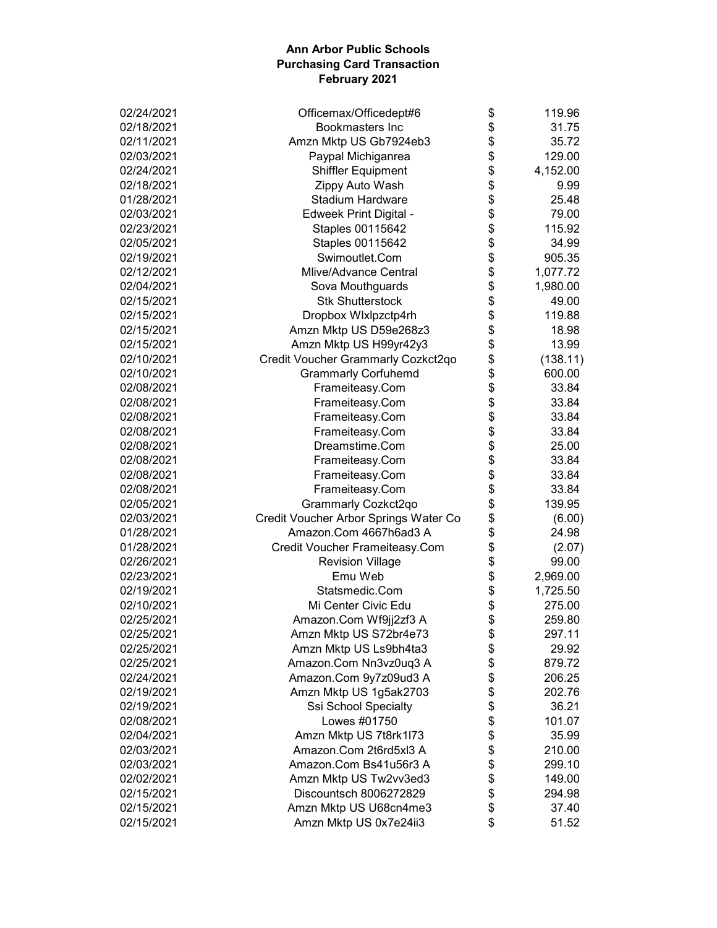| 02/24/2021 | Officemax/Officedept#6                | \$           | 119.96   |
|------------|---------------------------------------|--------------|----------|
| 02/18/2021 | <b>Bookmasters Inc</b>                | \$           | 31.75    |
| 02/11/2021 | Amzn Mktp US Gb7924eb3                | \$           | 35.72    |
| 02/03/2021 | Paypal Michiganrea                    | \$           | 129.00   |
| 02/24/2021 | <b>Shiffler Equipment</b>             | \$           | 4,152.00 |
| 02/18/2021 | Zippy Auto Wash                       |              | 9.99     |
| 01/28/2021 | <b>Stadium Hardware</b>               |              | 25.48    |
| 02/03/2021 | <b>Edweek Print Digital -</b>         |              | 79.00    |
| 02/23/2021 | Staples 00115642                      | \$\$\$\$\$\$ | 115.92   |
| 02/05/2021 | Staples 00115642                      |              | 34.99    |
| 02/19/2021 | Swimoutlet.Com                        |              | 905.35   |
| 02/12/2021 | <b>Mlive/Advance Central</b>          | \$           | 1,077.72 |
| 02/04/2021 | Sova Mouthguards                      | \$           | 1,980.00 |
| 02/15/2021 | <b>Stk Shutterstock</b>               | \$           | 49.00    |
| 02/15/2021 | Dropbox Wixipzctp4rh                  | \$           | 119.88   |
| 02/15/2021 | Amzn Mktp US D59e268z3                | \$           | 18.98    |
| 02/15/2021 | Amzn Mktp US H99yr42y3                | \$           | 13.99    |
| 02/10/2021 | Credit Voucher Grammarly Cozkct2qo    |              | (138.11) |
| 02/10/2021 | <b>Grammarly Corfuhemd</b>            | \$<br>\$     | 600.00   |
| 02/08/2021 | Frameiteasy.Com                       | \$           | 33.84    |
| 02/08/2021 | Frameiteasy.Com                       | \$           | 33.84    |
| 02/08/2021 | Frameiteasy.Com                       | \$           | 33.84    |
| 02/08/2021 | Frameiteasy.Com                       | \$           | 33.84    |
| 02/08/2021 | Dreamstime.Com                        |              | 25.00    |
| 02/08/2021 | Frameiteasy.Com                       | \$           | 33.84    |
| 02/08/2021 | Frameiteasy.Com                       | \$           | 33.84    |
| 02/08/2021 | Frameiteasy.Com                       | \$           | 33.84    |
| 02/05/2021 | Grammarly Cozkct2qo                   | \$           | 139.95   |
| 02/03/2021 | Credit Voucher Arbor Springs Water Co | \$           | (6.00)   |
| 01/28/2021 | Amazon.Com 4667h6ad3 A                | \$           | 24.98    |
| 01/28/2021 | Credit Voucher Frameiteasy.Com        | \$           | (2.07)   |
| 02/26/2021 | <b>Revision Village</b>               | \$           | 99.00    |
| 02/23/2021 | Emu Web                               | \$           | 2,969.00 |
| 02/19/2021 | Statsmedic.Com                        | \$           | 1,725.50 |
| 02/10/2021 | Mi Center Civic Edu                   | \$           | 275.00   |
| 02/25/2021 | Amazon.Com Wf9jj2zf3 A                | \$           | 259.80   |
| 02/25/2021 | Amzn Mktp US S72br4e73                | \$           | 297.11   |
| 02/25/2021 | Amzn Mktp US Ls9bh4ta3                | \$           | 29.92    |
| 02/25/2021 | Amazon.Com Nn3vz0uq3 A                | \$           | 879.72   |
| 02/24/2021 | Amazon.Com 9y7z09ud3 A                | \$           | 206.25   |
| 02/19/2021 | Amzn Mktp US 1g5ak2703                | \$           | 202.76   |
| 02/19/2021 | Ssi School Specialty                  | \$           | 36.21    |
| 02/08/2021 | Lowes #01750                          | \$           | 101.07   |
| 02/04/2021 | Amzn Mktp US 7t8rk1l73                |              | 35.99    |
| 02/03/2021 | Amazon.Com 2t6rd5xl3 A                | \$<br>\$     | 210.00   |
| 02/03/2021 | Amazon.Com Bs41u56r3 A                | \$           | 299.10   |
| 02/02/2021 | Amzn Mktp US Tw2vv3ed3                | \$           | 149.00   |
| 02/15/2021 | Discountsch 8006272829                | \$           | 294.98   |
| 02/15/2021 | Amzn Mktp US U68cn4me3                | \$           | 37.40    |
| 02/15/2021 | Amzn Mktp US 0x7e24ii3                | \$           | 51.52    |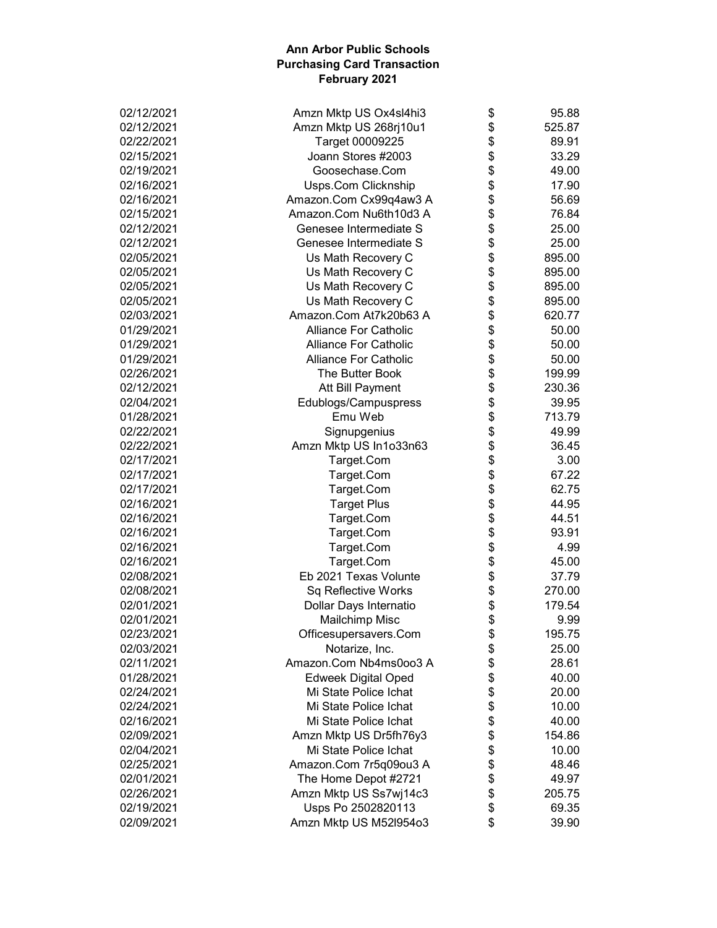| 02/12/2021               | Amzn Mktp US Ox4sl4hi3       | \$             | 95.88  |
|--------------------------|------------------------------|----------------|--------|
| 02/12/2021               | Amzn Mktp US 268rj10u1       | \$             | 525.87 |
| 02/22/2021               | Target 00009225              | \$             | 89.91  |
| 02/15/2021               | Joann Stores #2003           | \$             | 33.29  |
| 02/19/2021               | Goosechase.Com               | \$             | 49.00  |
| 02/16/2021               | <b>Usps.Com Clicknship</b>   | \$             | 17.90  |
| 02/16/2021               | Amazon.Com Cx99q4aw3 A       | \$             | 56.69  |
| 02/15/2021               | Amazon.Com Nu6th10d3 A       |                | 76.84  |
| 02/12/2021               | Genesee Intermediate S       | \$<br>\$       | 25.00  |
| 02/12/2021               | Genesee Intermediate S       | \$             | 25.00  |
| 02/05/2021               | Us Math Recovery C           | \$             | 895.00 |
| 02/05/2021               | Us Math Recovery C           | \$             | 895.00 |
| 02/05/2021               | Us Math Recovery C           | \$             | 895.00 |
| 02/05/2021               | Us Math Recovery C           | \$             | 895.00 |
| 02/03/2021               | Amazon.Com At7k20b63 A       | \$             | 620.77 |
| 01/29/2021               | <b>Alliance For Catholic</b> | \$             | 50.00  |
| 01/29/2021               | <b>Alliance For Catholic</b> | \$             | 50.00  |
| 01/29/2021               | <b>Alliance For Catholic</b> | \$             | 50.00  |
| 02/26/2021               | The Butter Book              | \$             | 199.99 |
| 02/12/2021               | Att Bill Payment             | \$             | 230.36 |
| 02/04/2021               | Edublogs/Campuspress         | \$             | 39.95  |
| 01/28/2021               | Emu Web                      | \$             | 713.79 |
| 02/22/2021               | Signupgenius                 |                | 49.99  |
| 02/22/2021               | Amzn Mktp US In1o33n63       |                | 36.45  |
| 02/17/2021               | Target.Com                   |                | 3.00   |
| 02/17/2021               | Target.Com                   | <b>8888888</b> | 67.22  |
| 02/17/2021               | Target.Com                   |                | 62.75  |
| 02/16/2021               | <b>Target Plus</b>           |                | 44.95  |
| 02/16/2021               | Target.Com                   |                | 44.51  |
| 02/16/2021               | Target.Com                   |                | 93.91  |
| 02/16/2021               | Target.Com                   | \$             | 4.99   |
| 02/16/2021               | Target.Com                   | \$             | 45.00  |
| 02/08/2021               | Eb 2021 Texas Volunte        | \$             | 37.79  |
| 02/08/2021               | Sq Reflective Works          | \$             | 270.00 |
| 02/01/2021               | Dollar Days Internatio       | \$             | 179.54 |
| 02/01/2021               | Mailchimp Misc               | \$             | 9.99   |
| 02/23/2021               | Officesupersavers.Com        | \$             | 195.75 |
| 02/03/2021               | Notarize, Inc.               | \$             | 25.00  |
| 02/11/2021               | Amazon.Com Nb4ms0oo3 A       | \$             | 28.61  |
| 01/28/2021               | <b>Edweek Digital Oped</b>   | \$             | 40.00  |
| 02/24/2021               | Mi State Police Ichat        |                | 20.00  |
| 02/24/2021               | Mi State Police Ichat        |                | 10.00  |
| 02/16/2021               | Mi State Police Ichat        | \$\$\$         | 40.00  |
| 02/09/2021               | Amzn Mktp US Dr5fh76y3       |                | 154.86 |
| 02/04/2021               | Mi State Police Ichat        | \$             | 10.00  |
| 02/25/2021               | Amazon.Com 7r5q09ou3 A       | \$             |        |
|                          |                              | \$             | 48.46  |
| 02/01/2021<br>02/26/2021 | The Home Depot #2721         | \$             | 49.97  |
|                          | Amzn Mktp US Ss7wj14c3       | \$             | 205.75 |
| 02/19/2021               | Usps Po 2502820113           |                | 69.35  |
| 02/09/2021               | Amzn Mktp US M52l954o3       | \$             | 39.90  |